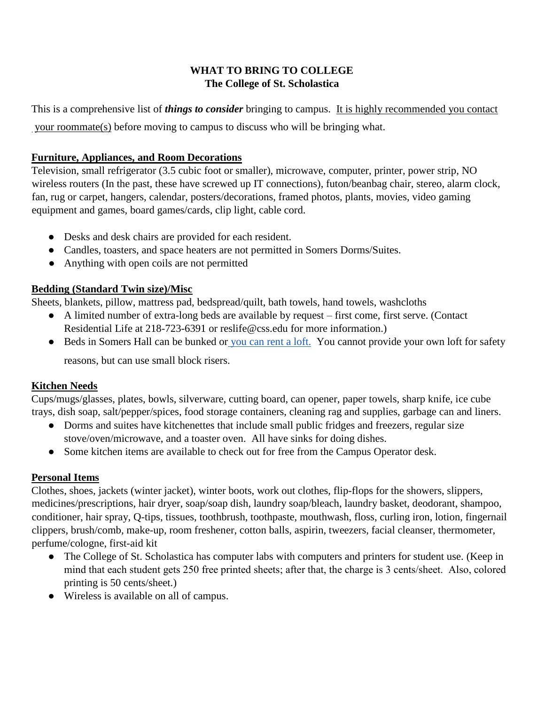## **WHAT TO BRING TO COLLEGE The College of St. Scholastica**

This is a comprehensive list of *things to consider* bringing to campus. It is highly recommended you contact your roommate(s) before moving to campus to discuss who will be bringing what.

# **Furniture, Appliances, and Room Decorations**

Television, small refrigerator (3.5 cubic foot or smaller), microwave, computer, printer, power strip, NO wireless routers (In the past, these have screwed up IT connections), futon/beanbag chair, stereo, alarm clock, fan, rug or carpet, hangers, calendar, posters/decorations, framed photos, plants, movies, video gaming equipment and games, board games/cards, clip light, cable cord.

- Desks and desk chairs are provided for each resident.
- Candles, toasters, and space heaters are not permitted in Somers Dorms/Suites.
- Anything with open coils are not permitted

# **Bedding (Standard Twin size)/Misc**

Sheets, blankets, pillow, mattress pad, bedspread/quilt, bath towels, hand towels, washcloths

- A limited number of extra-long beds are available by request first come, first serve. (Contact Residential Life at 218-723-6391 or reslife@css.edu for more information.)
- Beds in Somers Hall can be bunked or you can rent a loft. You cannot provide your own loft for safety

reasons, but can use small block risers.

# **Kitchen Needs**

Cups/mugs/glasses, plates, bowls, silverware, cutting board, can opener, paper towels, sharp knife, ice cube trays, dish soap, salt/pepper/spices, food storage containers, cleaning rag and supplies, garbage can and liners.

- Dorms and suites have kitchenettes that include small public fridges and freezers, regular size stove/oven/microwave, and a toaster oven. All have sinks for doing dishes.
- Some kitchen items are available to check out for free from the Campus Operator desk.

# **Personal Items**

Clothes, shoes, jackets (winter jacket), winter boots, work out clothes, flip-flops for the showers, slippers, medicines/prescriptions, hair dryer, soap/soap dish, laundry soap/bleach, laundry basket, deodorant, shampoo, conditioner, hair spray, Q-tips, tissues, toothbrush, toothpaste, mouthwash, floss, curling iron, lotion, fingernail clippers, brush/comb, make-up, room freshener, cotton balls, aspirin, tweezers, facial cleanser, thermometer, perfume/cologne, first-aid kit

- The College of St. Scholastica has computer labs with computers and printers for student use. (Keep in mind that each student gets 250 free printed sheets; after that, the charge is 3 cents/sheet. Also, colored printing is 50 cents/sheet.)
- Wireless is available on all of campus.